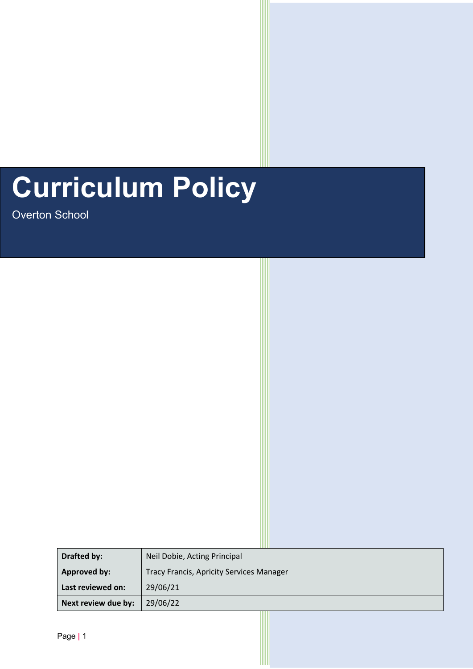# **Curriculum Policy**

Overton School

|  | <b>Drafted by:</b>  | Neil Dobie, Acting Principal                    |  |
|--|---------------------|-------------------------------------------------|--|
|  | <b>Approved by:</b> | <b>Tracy Francis, Apricity Services Manager</b> |  |
|  | Last reviewed on:   | 29/06/21                                        |  |
|  | Next review due by: | 29/06/22                                        |  |

֦֘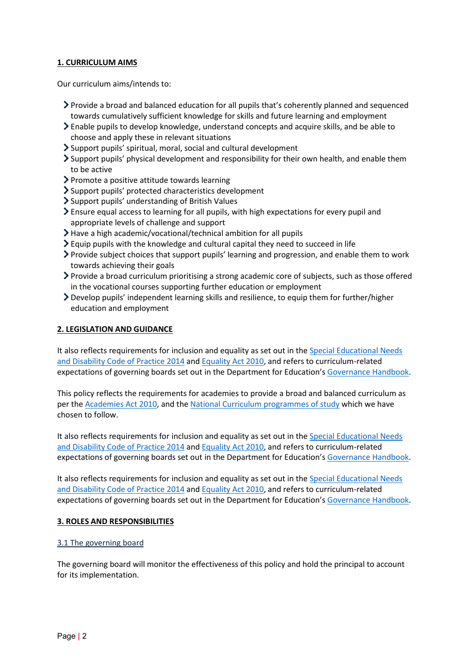## **1. CURRICULUM AIMS**

Our curriculum aims/intends to:

- Provide a broad and balanced education for all pupils that's coherently planned and sequenced towards cumulatively sufficient knowledge for skills and future learning and employment
- Enable pupils to develop knowledge, understand concepts and acquire skills, and be able to choose and apply these in relevant situations
- Support pupils' spiritual, moral, social and cultural development
- Support pupils' physical development and responsibility for their own health, and enable them to be active
- $\triangleright$  Promote a positive attitude towards learning
- Support pupils' protected characteristics development
- Support pupils' understanding of British Values
- Ensure equal access to learning for all pupils, with high expectations for every pupil and appropriate levels of challenge and support
- Have a high academic/vocational/technical ambition for all pupils
- $\geq$  Equip pupils with the knowledge and cultural capital they need to succeed in life
- $\triangleright$  Provide subject choices that support pupils' learning and progression, and enable them to work towards achieving their goals
- Provide a broad curriculum prioritising a strong academic core of subjects, such as those offered in the vocational courses supporting further education or employment
- Develop pupils' independent learning skills and resilience, to equip them for further/higher education and employment

## **2. LEGISLATION AND GUIDANCE**

It also reflects requirements for inclusion and equality as set out in the Special Educational Needs [and Disability Code of Practice 2014](https://www.gov.uk/government/publications/send-code-of-practice-0-to-25) and [Equality Act 2010,](http://www.legislation.gov.uk/ukpga/2010/15/part/6/chapter/1) and refers to curriculum-related expectations of governing boards set out in the Department for Education's [Governance Handbook.](https://www.gov.uk/government/publications/governance-handbook)

This policy reflects the requirements for academies to provide a broad and balanced curriculum as per the [Academies Act 2010,](http://www.legislation.gov.uk/ukpga/2010/32/section/1A) and th[e National Curriculum programmes of study](https://www.gov.uk/government/collections/national-curriculum) which we have chosen to follow.

It also reflects requirements for inclusion and equality as set out in th[e Special Educational Needs](https://www.gov.uk/government/publications/send-code-of-practice-0-to-25)  [and Disability Code of Practice 2014](https://www.gov.uk/government/publications/send-code-of-practice-0-to-25) and [Equality Act 2010,](http://www.legislation.gov.uk/ukpga/2010/15/part/6/chapter/1) and refers to curriculum-related expectations of governing boards set out in the Department for Education's [Governance Handbook.](https://www.gov.uk/government/publications/governance-handbook)

It also reflects requirements for inclusion and equality as set out in th[e Special Educational Needs](https://www.gov.uk/government/publications/send-code-of-practice-0-to-25)  [and Disability Code of Practice 2014](https://www.gov.uk/government/publications/send-code-of-practice-0-to-25) and [Equality Act 2010,](http://www.legislation.gov.uk/ukpga/2010/15/part/6/chapter/1) and refers to curriculum-related expectations of governing boards set out in the Department for Education's [Governance Handbook.](https://www.gov.uk/government/publications/governance-handbook)

## **3. ROLES AND RESPONSIBILITIES**

## 3.1 The governing board

The governing board will monitor the effectiveness of this policy and hold the principal to account for its implementation.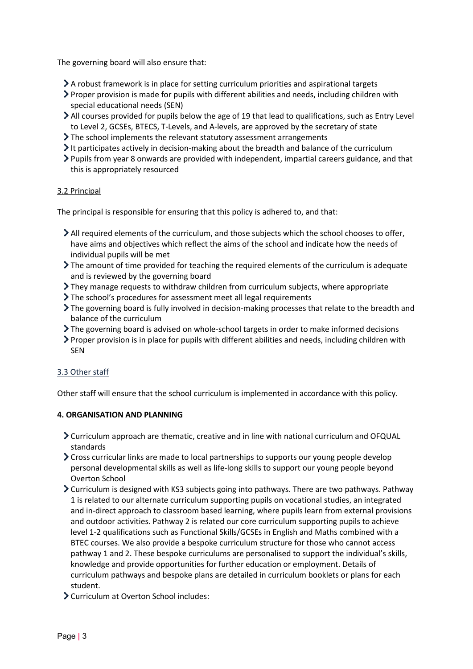The governing board will also ensure that:

- $\geq$  A robust framework is in place for setting curriculum priorities and aspirational targets
- Proper provision is made for pupils with different abilities and needs, including children with special educational needs (SEN)
- All courses provided for pupils below the age of 19 that lead to qualifications, such as Entry Level to Level 2, GCSEs, BTECS, T-Levels, and A-levels, are approved by the secretary of state
- The school implements the relevant statutory assessment arrangements
- $\geq$  It participates actively in decision-making about the breadth and balance of the curriculum
- Pupils from year 8 onwards are provided with independent, impartial careers guidance, and that this is appropriately resourced

## 3.2 Principal

The principal is responsible for ensuring that this policy is adhered to, and that:

- $\geq$  All required elements of the curriculum, and those subjects which the school chooses to offer, have aims and objectives which reflect the aims of the school and indicate how the needs of individual pupils will be met
- The amount of time provided for teaching the required elements of the curriculum is adequate and is reviewed by the governing board
- They manage requests to withdraw children from curriculum subjects, where appropriate
- The school's procedures for assessment meet all legal requirements
- The governing board is fully involved in decision-making processes that relate to the breadth and balance of the curriculum
- The governing board is advised on whole-school targets in order to make informed decisions
- Proper provision is in place for pupils with different abilities and needs, including children with SEN

# 3.3 Other staff

Other staff will ensure that the school curriculum is implemented in accordance with this policy.

# **4. ORGANISATION AND PLANNING**

- Curriculum approach are thematic, creative and in line with national curriculum and OFQUAL standards
- Cross curricular links are made to local partnerships to supports our young people develop personal developmental skills as well as life-long skills to support our young people beyond Overton School
- $\geq$  Curriculum is designed with KS3 subjects going into pathways. There are two pathways. Pathway 1 is related to our alternate curriculum supporting pupils on vocational studies, an integrated and in-direct approach to classroom based learning, where pupils learn from external provisions and outdoor activities. Pathway 2 is related our core curriculum supporting pupils to achieve level 1-2 qualifications such as Functional Skills/GCSEs in English and Maths combined with a BTEC courses. We also provide a bespoke curriculum structure for those who cannot access pathway 1 and 2. These bespoke curriculums are personalised to support the individual's skills, knowledge and provide opportunities for further education or employment. Details of curriculum pathways and bespoke plans are detailed in curriculum booklets or plans for each student.
- Curriculum at Overton School includes: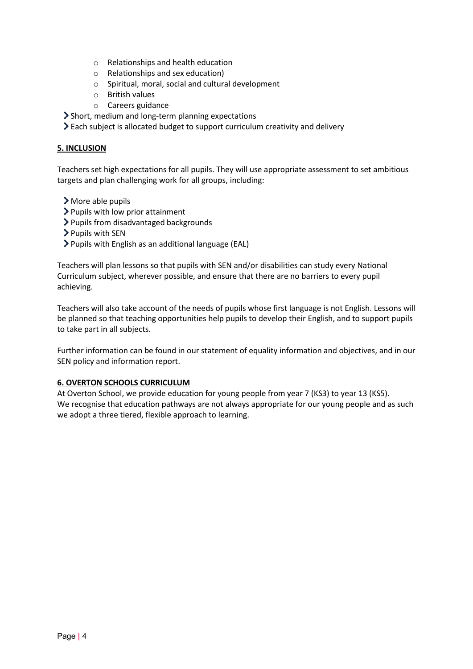- o Relationships and health education
- o Relationships and sex education)
- o Spiritual, moral, social and cultural development
- o British values
- o Careers guidance
- Short, medium and long-term planning expectations
- Each subject is allocated budget to support curriculum creativity and delivery

# **5. INCLUSION**

Teachers set high expectations for all pupils. They will use appropriate assessment to set ambitious targets and plan challenging work for all groups, including:

- More able pupils
- > Pupils with low prior attainment
- > Pupils from disadvantaged backgrounds
- $\triangleright$  Pupils with SEN
- Pupils with English as an additional language (EAL)

Teachers will plan lessons so that pupils with SEN and/or disabilities can study every National Curriculum subject, wherever possible, and ensure that there are no barriers to every pupil achieving.

Teachers will also take account of the needs of pupils whose first language is not English. Lessons will be planned so that teaching opportunities help pupils to develop their English, and to support pupils to take part in all subjects.

Further information can be found in our statement of equality information and objectives, and in our SEN policy and information report.

# **6. OVERTON SCHOOLS CURRICULUM**

At Overton School, we provide education for young people from year 7 (KS3) to year 13 (KS5). We recognise that education pathways are not always appropriate for our young people and as such we adopt a three tiered, flexible approach to learning.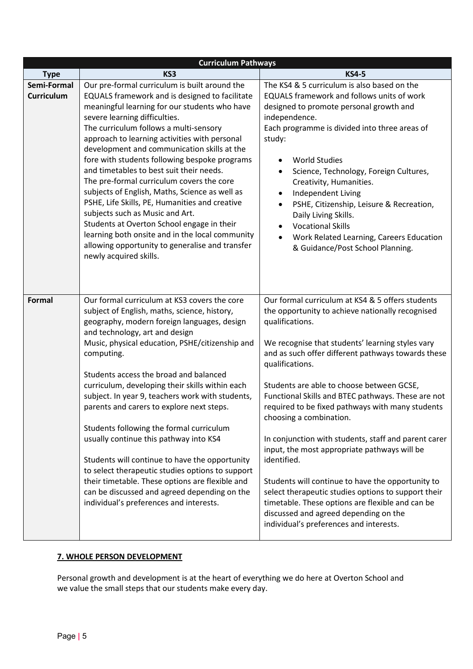|                                  | <b>Curriculum Pathways</b>                                                                                                                                                                                                                                                                                                                                                                                                                                                                                                                                                                                                                                                                                                                                                                 |                                                                                                                                                                                                                                                                                                                                                                                                                                                                                                                                                                                                                                                                                                                                                                                                                   |  |  |
|----------------------------------|--------------------------------------------------------------------------------------------------------------------------------------------------------------------------------------------------------------------------------------------------------------------------------------------------------------------------------------------------------------------------------------------------------------------------------------------------------------------------------------------------------------------------------------------------------------------------------------------------------------------------------------------------------------------------------------------------------------------------------------------------------------------------------------------|-------------------------------------------------------------------------------------------------------------------------------------------------------------------------------------------------------------------------------------------------------------------------------------------------------------------------------------------------------------------------------------------------------------------------------------------------------------------------------------------------------------------------------------------------------------------------------------------------------------------------------------------------------------------------------------------------------------------------------------------------------------------------------------------------------------------|--|--|
| <b>Type</b>                      | KS3                                                                                                                                                                                                                                                                                                                                                                                                                                                                                                                                                                                                                                                                                                                                                                                        | <b>KS4-5</b>                                                                                                                                                                                                                                                                                                                                                                                                                                                                                                                                                                                                                                                                                                                                                                                                      |  |  |
| Semi-Formal<br><b>Curriculum</b> | Our pre-formal curriculum is built around the<br>EQUALS framework and is designed to facilitate<br>meaningful learning for our students who have<br>severe learning difficulties.<br>The curriculum follows a multi-sensory<br>approach to learning activities with personal<br>development and communication skills at the<br>fore with students following bespoke programs<br>and timetables to best suit their needs.<br>The pre-formal curriculum covers the core<br>subjects of English, Maths, Science as well as<br>PSHE, Life Skills, PE, Humanities and creative<br>subjects such as Music and Art.<br>Students at Overton School engage in their<br>learning both onsite and in the local community<br>allowing opportunity to generalise and transfer<br>newly acquired skills. | The KS4 & 5 curriculum is also based on the<br>EQUALS framework and follows units of work<br>designed to promote personal growth and<br>independence.<br>Each programme is divided into three areas of<br>study:<br><b>World Studies</b><br>Science, Technology, Foreign Cultures,<br>Creativity, Humanities.<br>Independent Living<br>٠<br>PSHE, Citizenship, Leisure & Recreation,<br>$\bullet$<br>Daily Living Skills.<br><b>Vocational Skills</b><br>$\bullet$<br>Work Related Learning, Careers Education<br>& Guidance/Post School Planning.                                                                                                                                                                                                                                                                |  |  |
| <b>Formal</b>                    | Our formal curriculum at KS3 covers the core<br>subject of English, maths, science, history,<br>geography, modern foreign languages, design<br>and technology, art and design<br>Music, physical education, PSHE/citizenship and<br>computing.<br>Students access the broad and balanced<br>curriculum, developing their skills within each<br>subject. In year 9, teachers work with students,<br>parents and carers to explore next steps.<br>Students following the formal curriculum<br>usually continue this pathway into KS4<br>Students will continue to have the opportunity<br>to select therapeutic studies options to support<br>their timetable. These options are flexible and<br>can be discussed and agreed depending on the<br>individual's preferences and interests.     | Our formal curriculum at KS4 & 5 offers students<br>the opportunity to achieve nationally recognised<br>qualifications.<br>We recognise that students' learning styles vary<br>and as such offer different pathways towards these<br>qualifications.<br>Students are able to choose between GCSE,<br>Functional Skills and BTEC pathways. These are not<br>required to be fixed pathways with many students<br>choosing a combination.<br>In conjunction with students, staff and parent carer<br>input, the most appropriate pathways will be<br>identified.<br>Students will continue to have the opportunity to<br>select therapeutic studies options to support their<br>timetable. These options are flexible and can be<br>discussed and agreed depending on the<br>individual's preferences and interests. |  |  |

# **7. WHOLE PERSON DEVELOPMENT**

Personal growth and development is at the heart of everything we do here at Overton School and we value the small steps that our students make every day.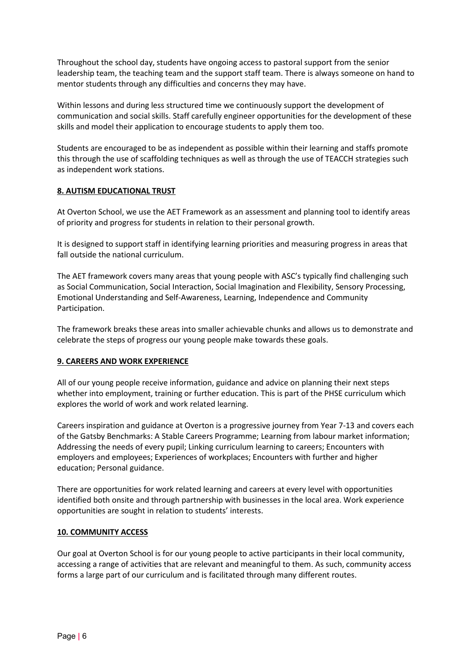Throughout the school day, students have ongoing access to pastoral support from the senior leadership team, the teaching team and the support staff team. There is always someone on hand to mentor students through any difficulties and concerns they may have.

Within lessons and during less structured time we continuously support the development of communication and social skills. Staff carefully engineer opportunities for the development of these skills and model their application to encourage students to apply them too.

Students are encouraged to be as independent as possible within their learning and staffs promote this through the use of scaffolding techniques as well as through the use of TEACCH strategies such as independent work stations.

# **8. AUTISM EDUCATIONAL TRUST**

At Overton School, we use the AET Framework as an assessment and planning tool to identify areas of priority and progress for students in relation to their personal growth.

It is designed to support staff in identifying learning priorities and measuring progress in areas that fall outside the national curriculum.

The AET framework covers many areas that young people with ASC's typically find challenging such as Social Communication, Social Interaction, Social Imagination and Flexibility, Sensory Processing, Emotional Understanding and Self-Awareness, Learning, Independence and Community Participation.

The framework breaks these areas into smaller achievable chunks and allows us to demonstrate and celebrate the steps of progress our young people make towards these goals.

# **9. CAREERS AND WORK EXPERIENCE**

All of our young people receive information, guidance and advice on planning their next steps whether into employment, training or further education. This is part of the PHSE curriculum which explores the world of work and work related learning.

Careers inspiration and guidance at Overton is a progressive journey from Year 7-13 and covers each of the Gatsby Benchmarks: A Stable Careers Programme; Learning from labour market information; Addressing the needs of every pupil; Linking curriculum learning to careers; Encounters with employers and employees; Experiences of workplaces; Encounters with further and higher education; Personal guidance.

There are opportunities for work related learning and careers at every level with opportunities identified both onsite and through partnership with businesses in the local area. Work experience opportunities are sought in relation to students' interests.

## **10. COMMUNITY ACCESS**

Our goal at Overton School is for our young people to active participants in their local community, accessing a range of activities that are relevant and meaningful to them. As such, community access forms a large part of our curriculum and is facilitated through many different routes.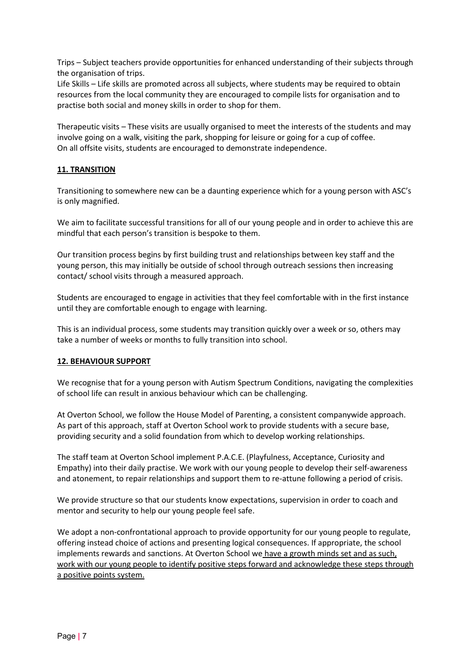Trips – Subject teachers provide opportunities for enhanced understanding of their subjects through the organisation of trips.

Life Skills – Life skills are promoted across all subjects, where students may be required to obtain resources from the local community they are encouraged to compile lists for organisation and to practise both social and money skills in order to shop for them.

Therapeutic visits – These visits are usually organised to meet the interests of the students and may involve going on a walk, visiting the park, shopping for leisure or going for a cup of coffee. On all offsite visits, students are encouraged to demonstrate independence.

# **11. TRANSITION**

Transitioning to somewhere new can be a daunting experience which for a young person with ASC's is only magnified.

We aim to facilitate successful transitions for all of our young people and in order to achieve this are mindful that each person's transition is bespoke to them.

Our transition process begins by first building trust and relationships between key staff and the young person, this may initially be outside of school through outreach sessions then increasing contact/ school visits through a measured approach.

Students are encouraged to engage in activities that they feel comfortable with in the first instance until they are comfortable enough to engage with learning.

This is an individual process, some students may transition quickly over a week or so, others may take a number of weeks or months to fully transition into school.

## **12. BEHAVIOUR SUPPORT**

We recognise that for a young person with Autism Spectrum Conditions, navigating the complexities of school life can result in anxious behaviour which can be challenging.

At Overton School, we follow the House Model of Parenting, a consistent companywide approach. As part of this approach, staff at Overton School work to provide students with a secure base, providing security and a solid foundation from which to develop working relationships.

The staff team at Overton School implement P.A.C.E. (Playfulness, Acceptance, Curiosity and Empathy) into their daily practise. We work with our young people to develop their self-awareness and atonement, to repair relationships and support them to re-attune following a period of crisis.

We provide structure so that our students know expectations, supervision in order to coach and mentor and security to help our young people feel safe.

We adopt a non-confrontational approach to provide opportunity for our young people to regulate, offering instead choice of actions and presenting logical consequences. If appropriate, the school implements rewards and sanctions. At Overton School we have a growth minds set and as such, work with our young people to identify positive steps forward and acknowledge these steps through a positive points system.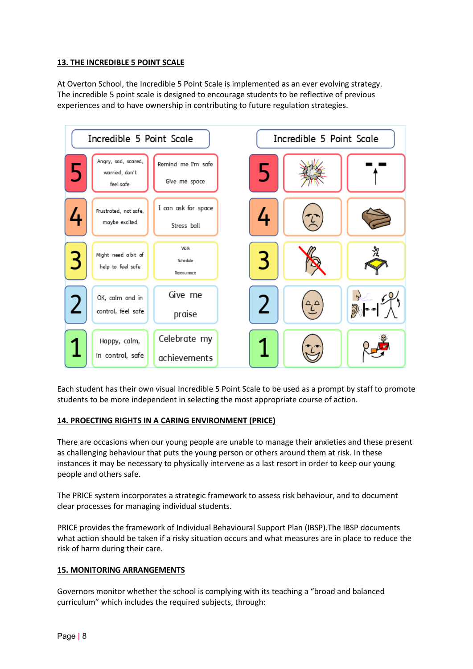# **13. THE INCREDIBLE 5 POINT SCALE**

At Overton School, the Incredible 5 Point Scale is implemented as an ever evolving strategy. The incredible 5 point scale is designed to encourage students to be reflective of previous experiences and to have ownership in contributing to future regulation strategies.



Each student has their own visual Incredible 5 Point Scale to be used as a prompt by staff to promote students to be more independent in selecting the most appropriate course of action.

## **14. PROECTING RIGHTS IN A CARING ENVIRONMENT (PRICE)**

There are occasions when our young people are unable to manage their anxieties and these present as challenging behaviour that puts the young person or others around them at risk. In these instances it may be necessary to physically intervene as a last resort in order to keep our young people and others safe.

The PRICE system incorporates a strategic framework to assess risk behaviour, and to document clear processes for managing individual students.

PRICE provides the framework of Individual Behavioural Support Plan (IBSP).The IBSP documents what action should be taken if a risky situation occurs and what measures are in place to reduce the risk of harm during their care.

## **15. MONITORING ARRANGEMENTS**

Governors monitor whether the school is complying with its teaching a "broad and balanced curriculum" which includes the required subjects, through: